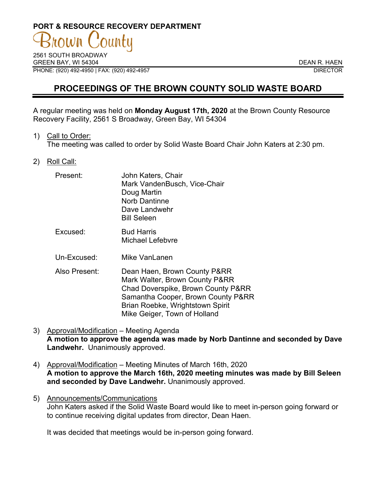# **PORT & RESOURCE RECOVERY DEPARTMENT**

2561 SOUTH BROADWAY GREEN BAY. WI 54304 DEAN R. HAEN PHONE: (920) 492-4950 | FAX: (920) 492-4957 DIRECTOR

## **PROCEEDINGS OF THE BROWN COUNTY SOLID WASTE BOARD**

A regular meeting was held on **Monday August 17th, 2020** at the Brown County Resource Recovery Facility, 2561 S Broadway, Green Bay, WI 54304

1) Call to Order:

The meeting was called to order by Solid Waste Board Chair John Katers at 2:30 pm.

2) Roll Call:

| Present:      | John Katers, Chair<br>Mark VandenBusch, Vice-Chair<br>Doug Martin<br><b>Norb Dantinne</b><br>Dave Landwehr<br><b>Bill Seleen</b> |
|---------------|----------------------------------------------------------------------------------------------------------------------------------|
| Excused:      | <b>Bud Harris</b><br>Michael Lefebvre                                                                                            |
| Un-Excused:   | Mike VanLanen                                                                                                                    |
| Also Present: | Dean Haen, Brown County P&RR                                                                                                     |

- Mark Walter, Brown County P&RR Chad Doverspike, Brown County P&RR Samantha Cooper, Brown County P&RR Brian Roebke, Wrightstown Spirit Mike Geiger, Town of Holland
- 3) Approval/Modification Meeting Agenda **A motion to approve the agenda was made by Norb Dantinne and seconded by Dave Landwehr.** Unanimously approved.
- 4) Approval/Modification Meeting Minutes of March 16th, 2020 **A motion to approve the March 16th, 2020 meeting minutes was made by Bill Seleen and seconded by Dave Landwehr.** Unanimously approved.
- 5) Announcements/Communications John Katers asked if the Solid Waste Board would like to meet in-person going forward or to continue receiving digital updates from director, Dean Haen.

It was decided that meetings would be in-person going forward.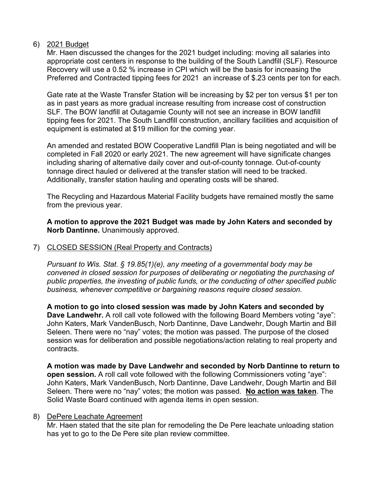#### 6) 2021 Budget

Mr. Haen discussed the changes for the 2021 budget including: moving all salaries into appropriate cost centers in response to the building of the South Landfill (SLF). Resource Recovery will use a 0.52 % increase in CPI which will be the basis for increasing the Preferred and Contracted tipping fees for 2021 an increase of \$.23 cents per ton for each.

Gate rate at the Waste Transfer Station will be increasing by \$2 per ton versus \$1 per ton as in past years as more gradual increase resulting from increase cost of construction SLF. The BOW landfill at Outagamie County will not see an increase in BOW landfill tipping fees for 2021. The South Landfill construction, ancillary facilities and acquisition of equipment is estimated at \$19 million for the coming year.

An amended and restated BOW Cooperative Landfill Plan is being negotiated and will be completed in Fall 2020 or early 2021. The new agreement will have significate changes including sharing of alternative daily cover and out-of-county tonnage. Out-of-county tonnage direct hauled or delivered at the transfer station will need to be tracked. Additionally, transfer station hauling and operating costs will be shared.

The Recycling and Hazardous Material Facility budgets have remained mostly the same from the previous year.

**A motion to approve the 2021 Budget was made by John Katers and seconded by Norb Dantinne.** Unanimously approved.

### 7) CLOSED SESSION (Real Property and Contracts)

*Pursuant to Wis. Stat. § 19.85(1)(e), any meeting of a governmental body may be convened in closed session for purposes of deliberating or negotiating the purchasing of public properties, the investing of public funds, or the conducting of other specified public business, whenever competitive or bargaining reasons require closed session.*

**A motion to go into closed session was made by John Katers and seconded by Dave Landwehr.** A roll call vote followed with the following Board Members voting "aye": John Katers, Mark VandenBusch, Norb Dantinne, Dave Landwehr, Dough Martin and Bill Seleen. There were no "nay" votes; the motion was passed. The purpose of the closed session was for deliberation and possible negotiations/action relating to real property and contracts.

**A motion was made by Dave Landwehr and seconded by Norb Dantinne to return to open session.** A roll call vote followed with the following Commissioners voting "aye": John Katers, Mark VandenBusch, Norb Dantinne, Dave Landwehr, Dough Martin and Bill Seleen. There were no "nay" votes; the motion was passed. **No action was taken**. The Solid Waste Board continued with agenda items in open session.

#### 8) DePere Leachate Agreement

Mr. Haen stated that the site plan for remodeling the De Pere leachate unloading station has yet to go to the De Pere site plan review committee.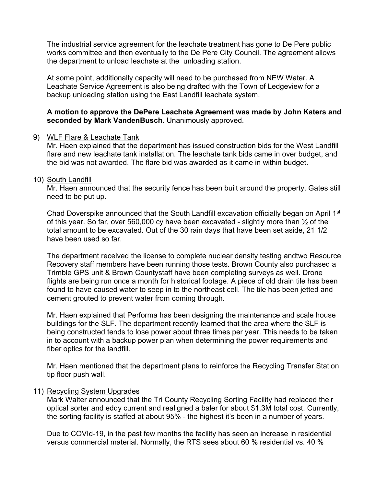The industrial service agreement for the leachate treatment has gone to De Pere public works committee and then eventually to the De Pere City Council. The agreement allows the department to unload leachate at the unloading station.

At some point, additionally capacity will need to be purchased from NEW Water. A Leachate Service Agreement is also being drafted with the Town of Ledgeview for a backup unloading station using the East Landfill leachate system.

#### **A motion to approve the DePere Leachate Agreement was made by John Katers and seconded by Mark VandenBusch.** Unanimously approved.

#### 9) WLF Flare & Leachate Tank

Mr. Haen explained that the department has issued construction bids for the West Landfill flare and new leachate tank installation. The leachate tank bids came in over budget, and the bid was not awarded. The flare bid was awarded as it came in within budget.

#### 10) South Landfill

Mr. Haen announced that the security fence has been built around the property. Gates still need to be put up.

Chad Doverspike announced that the South Landfill excavation officially began on April 1st of this year. So far, over 560,000 cy have been excavated - slightly more than ½ of the total amount to be excavated. Out of the 30 rain days that have been set aside, 21 1/2 have been used so far.

The department received the license to complete nuclear density testing andtwo Resource Recovery staff members have been running those tests. Brown County also purchased a Trimble GPS unit & Brown Countystaff have been completing surveys as well. Drone flights are being run once a month for historical footage. A piece of old drain tile has been found to have caused water to seep in to the northeast cell. The tile has been jetted and cement grouted to prevent water from coming through.

Mr. Haen explained that Performa has been designing the maintenance and scale house buildings for the SLF. The department recently learned that the area where the SLF is being constructed tends to lose power about three times per year. This needs to be taken in to account with a backup power plan when determining the power requirements and fiber optics for the landfill.

Mr. Haen mentioned that the department plans to reinforce the Recycling Transfer Station tip floor push wall.

#### 11) Recycling System Upgrades

Mark Walter announced that the Tri County Recycling Sorting Facility had replaced their optical sorter and eddy current and realigned a baler for about \$1.3M total cost. Currently, the sorting facility is staffed at about 95% - the highest it's been in a number of years.

Due to COVId-19, in the past few months the facility has seen an increase in residential versus commercial material. Normally, the RTS sees about 60 % residential vs. 40 %